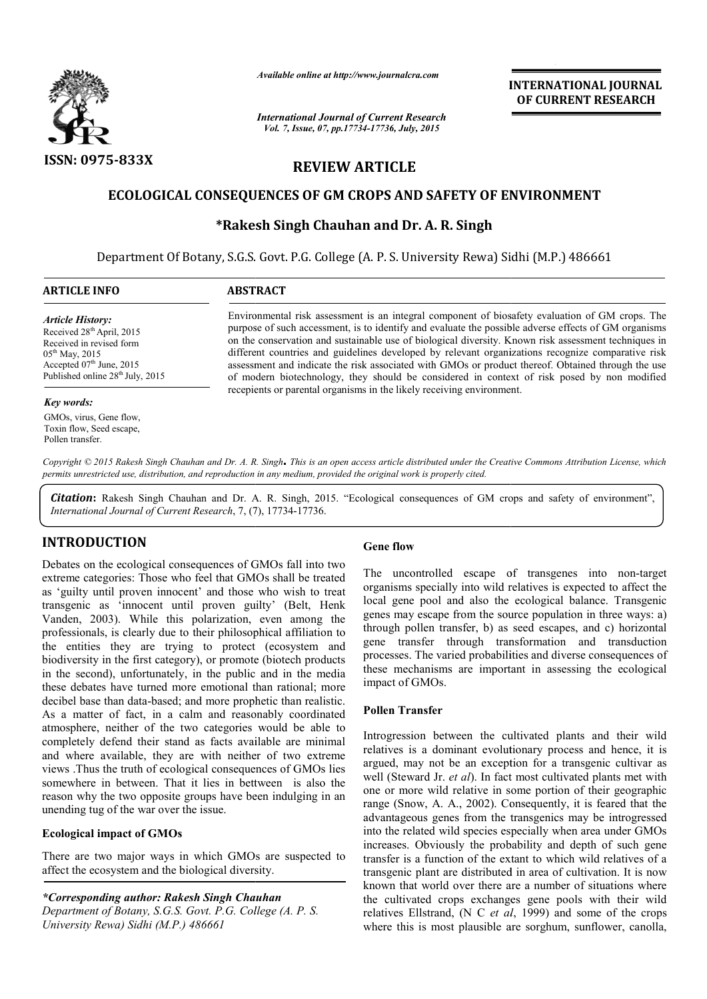

*Available online at http://www.journalcra.com*

*International Journal of Current Research Vol. 7, Issue, 07, pp.17734-17736, July, 2015*

**INTERNATIONAL INTERNATIONAL JOURNAL OF CURRENT RESEARCH** 

# **REVIEW ARTICLE**

## **ECOLOGICAL CONSEQUENCES OF GM CROPS AND SAFETY OF ENVIRONMENT**

# **\*Rakesh Singh Chauhan and Dr. A. R. Singh**

Department Of Botany, S.G.S. Govt. P.G. College (A. P. S. University Rewa) Sidhi (M.P.) 486661

| <b>ARTICLE INFO</b>                                                                                                                                                                                    | <b>ABSTRACT</b>                                                                                                                                                                                                                                                                                                                                                                                                                                                                                                                                                                                                                                                                                    |
|--------------------------------------------------------------------------------------------------------------------------------------------------------------------------------------------------------|----------------------------------------------------------------------------------------------------------------------------------------------------------------------------------------------------------------------------------------------------------------------------------------------------------------------------------------------------------------------------------------------------------------------------------------------------------------------------------------------------------------------------------------------------------------------------------------------------------------------------------------------------------------------------------------------------|
| <b>Article History:</b><br>Received 28 <sup>th</sup> April, 2015<br>Received in revised form<br>$05^{\text{th}}$ May, 2015<br>Accepted 07th June, 2015<br>Published online 28 <sup>th</sup> July, 2015 | Environmental risk assessment is an integral component of biosafety evaluation of GM crops. The<br>purpose of such accessment, is to identify and evaluate the possible adverse effects of GM organisms<br>on the conservation and sustainable use of biological diversity. Known risk assessment techniques in<br>different countries and guidelines developed by relevant organizations recognize comparative risk<br>assessment and indicate the risk associated with GMOs or product thereof. Obtained through the use<br>of modern biotechnology, they should be considered in context of risk posed by non modified<br>receptents or parental organisms in the likely receiving environment. |
| Key words:                                                                                                                                                                                             |                                                                                                                                                                                                                                                                                                                                                                                                                                                                                                                                                                                                                                                                                                    |

*Copyright © 2015 Rakesh Singh Chauhan and Dr. A. R. Singh***.** *This is an open access article distributed under the Creative Commons Att Attribution License, which permits unrestricted use, distribution, and reproduction in any medium, provided the original work is properly cited.*

Citation: Rakesh Singh Chauhan and Dr. A. R. Singh, 2015. "Ecological consequences of GM crops and safety of environment", *International Journal of Current Research*, 7, (7 7), 17734-17736.

# **INTRODUCTION**

GMOs, virus, Gene flow, Toxin flow, Seed escape, Pollen transfer.

Debates on the ecological consequences of GMOs fall into two extreme categories: Those who feel that GMOs shall be treated as 'guilty until proven innocent' and those who wish to treat transgenic as 'innocent until proven guilty' (Belt, Henk Vanden, 2003). While this polarization, even among the professionals, is clearly due to their philosophical affiliation to the entities they are trying to protect (ecosystem and biodiversity in the first category), or promote (biotech products in the second), unfortunately, in the public and in the media these debates have turned more emotional than rational; more decibel base than data-based; and more prophetic than realistic. As a matter of fact, in a calm and reasonably coordinated atmosphere, neither of the two categories would be able to completely defend their stand as facts available are minimal and where available, they are with neither of two extreme views . Thus the truth of ecological consequences of GMOs lies somewhere in between. That it lies in bettween is also the reason why the two opposite groups have been indulging in an unending tug of the war over the issue. **CALCUSE SET ASSEM CONTREGONAL SET ASSEM CONTREGONAL SET ASSEMBLE THE SERVIT CONDICTION CONDISC SET THE UNITE CONTREGONAL SET ASSEMBLE THE UNITE SERVIT USE CONTRESPOND TO SERVIT USE THE CONTREGONAL STOCES (THE SURVIT OF SC** 

### **Ecological impact of GMOs**

There are two major ways in which GMOs are suspected to affect the ecosystem and the biological diversity.

*\*Corresponding author: Rakesh Singh Chauhan Department of Botany, S.G.S. Govt. P.G. College (A. P. S. University Rewa) Sidhi (M.P.) 486661*

The uncontrolled escape of transgenes into non-target organisms specially into wild relatives is expected to affect the local gene pool and also the ecological balance. Transgenic genes may escape from the source population in three ways: a) through pollen transfer, b) as seed escapes, and c) horizontal gene transfer through transformation and transduction processes. The varied probabilities and diverse consequences of these mechanisms are important in assessing the ecological impact of GMOs.

#### **Pollen Transfer**

Introgression between the cultivated plants and their wild relatives is a dominant evolutionary process and hence, it is argued, may not be an exception for a transgenic cultivar as well (Steward Jr. *et al*). In fact most cultivated plants met with one or more wild relative in some portion of their geographic range (Snow, A. A., 2002). Consequently, it is feared that the advantageous genes from the transgenics may be introgressed into the related wild species especially when area under GMOs increases. Obviously the probability and depth of such gene transfer is a function of the extant to which wild relatives of a transgenic plant are distributed in area of cultivation. It is now known that world over there are a number of situations where the cultivated crops exchanges gene pools with their wild relatives Ellstrand, (N C *et al*, 1999) and some of the crops where this is most plausible are sorghum, sunflower, canolla, organisms specially into wild relatives is expected to affect to color local genes may excepte from the source population in three ways: through pollen transfer, b) as seed escapes, and c) horizon gene transfer through tra **INTERNATIONAL JOURNAL**<br> **INTERNATIONAL JOURNAL**<br> **IDENTIFY OF ENVIRONMENT**<br> **IDENTIFY OF ENVIRONMENT**<br> **I**<br> **I**<br> **I**<br> **ICENTY OF ENVIRONMENT**<br> **I**<br> **ICENTY OF ENVIRONMENT**<br> **I**<br> **ICENTY A.R. Singh**<br> **I**<br>
Internative the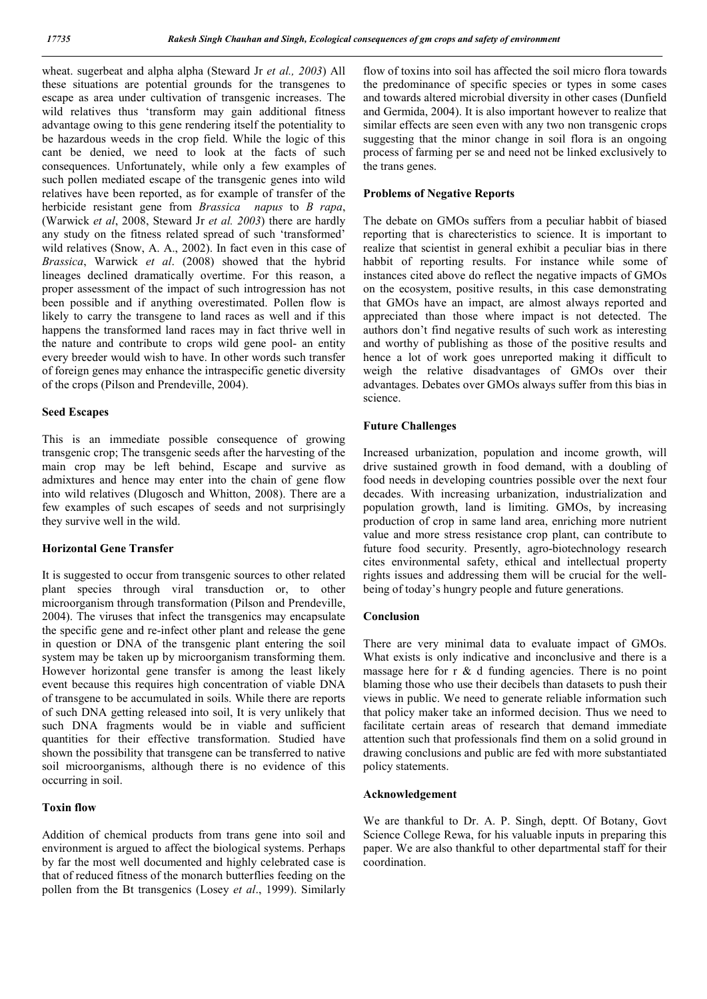wheat. sugerbeat and alpha alpha (Steward Jr *et al., 2003*) All these situations are potential grounds for the transgenes to escape as area under cultivation of transgenic increases. The wild relatives thus 'transform may gain additional fitness advantage owing to this gene rendering itself the potentiality to be hazardous weeds in the crop field. While the logic of this cant be denied, we need to look at the facts of such consequences. Unfortunately, while only a few examples of such pollen mediated escape of the transgenic genes into wild relatives have been reported, as for example of transfer of the herbicide resistant gene from *Brassica napus* to *B rapa*, (Warwick *et al*, 2008, Steward Jr *et al. 2003*) there are hardly any study on the fitness related spread of such 'transformed' wild relatives (Snow, A. A., 2002). In fact even in this case of *Brassica*, Warwick *et al*. (2008) showed that the hybrid lineages declined dramatically overtime. For this reason, a proper assessment of the impact of such introgression has not been possible and if anything overestimated. Pollen flow is likely to carry the transgene to land races as well and if this happens the transformed land races may in fact thrive well in the nature and contribute to crops wild gene pool- an entity every breeder would wish to have. In other words such transfer of foreign genes may enhance the intraspecific genetic diversity of the crops (Pilson and Prendeville, 2004).

#### **Seed Escapes**

This is an immediate possible consequence of growing transgenic crop; The transgenic seeds after the harvesting of the main crop may be left behind, Escape and survive as admixtures and hence may enter into the chain of gene flow into wild relatives (Dlugosch and Whitton, 2008). There are a few examples of such escapes of seeds and not surprisingly they survive well in the wild.

#### **Horizontal Gene Transfer**

It is suggested to occur from transgenic sources to other related plant species through viral transduction or, to other microorganism through transformation (Pilson and Prendeville, 2004). The viruses that infect the transgenics may encapsulate the specific gene and re-infect other plant and release the gene in question or DNA of the transgenic plant entering the soil system may be taken up by microorganism transforming them. However horizontal gene transfer is among the least likely event because this requires high concentration of viable DNA of transgene to be accumulated in soils. While there are reports of such DNA getting released into soil, It is very unlikely that such DNA fragments would be in viable and sufficient quantities for their effective transformation. Studied have shown the possibility that transgene can be transferred to native soil microorganisms, although there is no evidence of this occurring in soil.

#### **Toxin flow**

Addition of chemical products from trans gene into soil and environment is argued to affect the biological systems. Perhaps by far the most well documented and highly celebrated case is that of reduced fitness of the monarch butterflies feeding on the pollen from the Bt transgenics (Losey *et al*., 1999). Similarly flow of toxins into soil has affected the soil micro flora towards the predominance of specific species or types in some cases and towards altered microbial diversity in other cases (Dunfield and Germida, 2004). It is also important however to realize that similar effects are seen even with any two non transgenic crops suggesting that the minor change in soil flora is an ongoing process of farming per se and need not be linked exclusively to the trans genes.

#### **Problems of Negative Reports**

The debate on GMOs suffers from a peculiar habbit of biased reporting that is charecteristics to science. It is important to realize that scientist in general exhibit a peculiar bias in there habbit of reporting results. For instance while some of instances cited above do reflect the negative impacts of GMOs on the ecosystem, positive results, in this case demonstrating that GMOs have an impact, are almost always reported and appreciated than those where impact is not detected. The authors don't find negative results of such work as interesting and worthy of publishing as those of the positive results and hence a lot of work goes unreported making it difficult to weigh the relative disadvantages of GMOs over their advantages. Debates over GMOs always suffer from this bias in science.

#### **Future Challenges**

Increased urbanization, population and income growth, will drive sustained growth in food demand, with a doubling of food needs in developing countries possible over the next four decades. With increasing urbanization, industrialization and population growth, land is limiting. GMOs, by increasing production of crop in same land area, enriching more nutrient value and more stress resistance crop plant, can contribute to future food security. Presently, agro-biotechnology research cites environmental safety, ethical and intellectual property rights issues and addressing them will be crucial for the wellbeing of today's hungry people and future generations.

#### **Conclusion**

There are very minimal data to evaluate impact of GMOs. What exists is only indicative and inconclusive and there is a massage here for r & d funding agencies. There is no point blaming those who use their decibels than datasets to push their views in public. We need to generate reliable information such that policy maker take an informed decision. Thus we need to facilitate certain areas of research that demand immediate attention such that professionals find them on a solid ground in drawing conclusions and public are fed with more substantiated policy statements.

#### **Acknowledgement**

We are thankful to Dr. A. P. Singh, deptt. Of Botany, Govt Science College Rewa, for his valuable inputs in preparing this paper. We are also thankful to other departmental staff for their coordination.